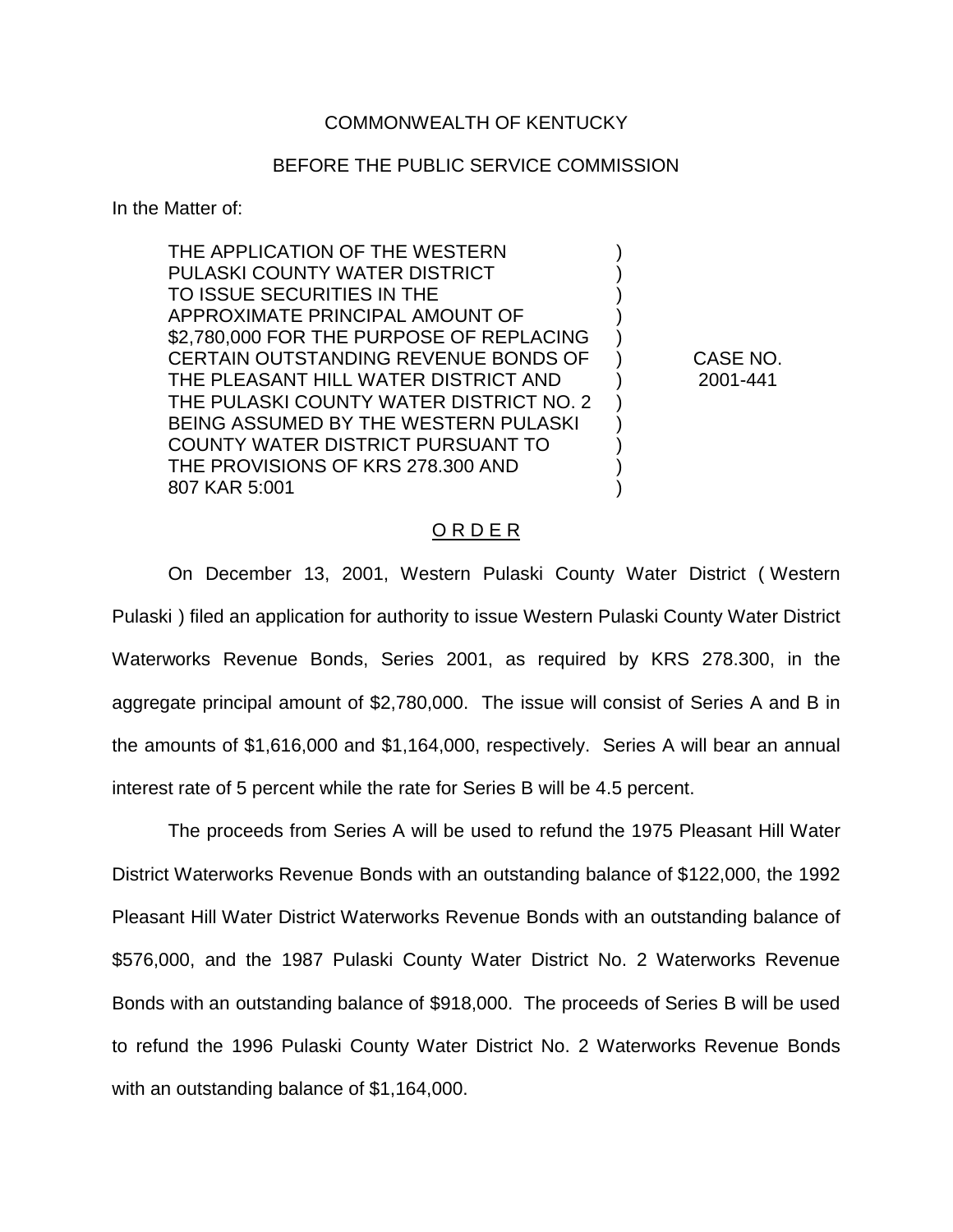## COMMONWEALTH OF KENTUCKY

## BEFORE THE PUBLIC SERVICE COMMISSION

In the Matter of:

THE APPLICATION OF THE WESTERN ) PULASKI COUNTY WATER DISTRICT TO ISSUE SECURITIES IN THE ) APPROXIMATE PRINCIPAL AMOUNT OF ) \$2,780,000 FOR THE PURPOSE OF REPLACING CERTAIN OUTSTANDING REVENUE BONDS OF ) CASE NO. THE PLEASANT HILL WATER DISTRICT AND ) 2001-441 THE PULASKI COUNTY WATER DISTRICT NO. 2 ) BEING ASSUMED BY THE WESTERN PULASKI ) COUNTY WATER DISTRICT PURSUANT TO  $\qquad \qquad$  ) THE PROVISIONS OF KRS 278.300 AND 807 KAR 5:001 )

## O R D E R

On December 13, 2001, Western Pulaski County Water District ( Western Pulaski ) filed an application for authority to issue Western Pulaski County Water District Waterworks Revenue Bonds, Series 2001, as required by KRS 278.300, in the aggregate principal amount of \$2,780,000. The issue will consist of Series A and B in the amounts of \$1,616,000 and \$1,164,000, respectively. Series A will bear an annual interest rate of 5 percent while the rate for Series B will be 4.5 percent.

The proceeds from Series A will be used to refund the 1975 Pleasant Hill Water District Waterworks Revenue Bonds with an outstanding balance of \$122,000, the 1992 Pleasant Hill Water District Waterworks Revenue Bonds with an outstanding balance of \$576,000, and the 1987 Pulaski County Water District No. 2 Waterworks Revenue Bonds with an outstanding balance of \$918,000. The proceeds of Series B will be used to refund the 1996 Pulaski County Water District No. 2 Waterworks Revenue Bonds with an outstanding balance of \$1,164,000.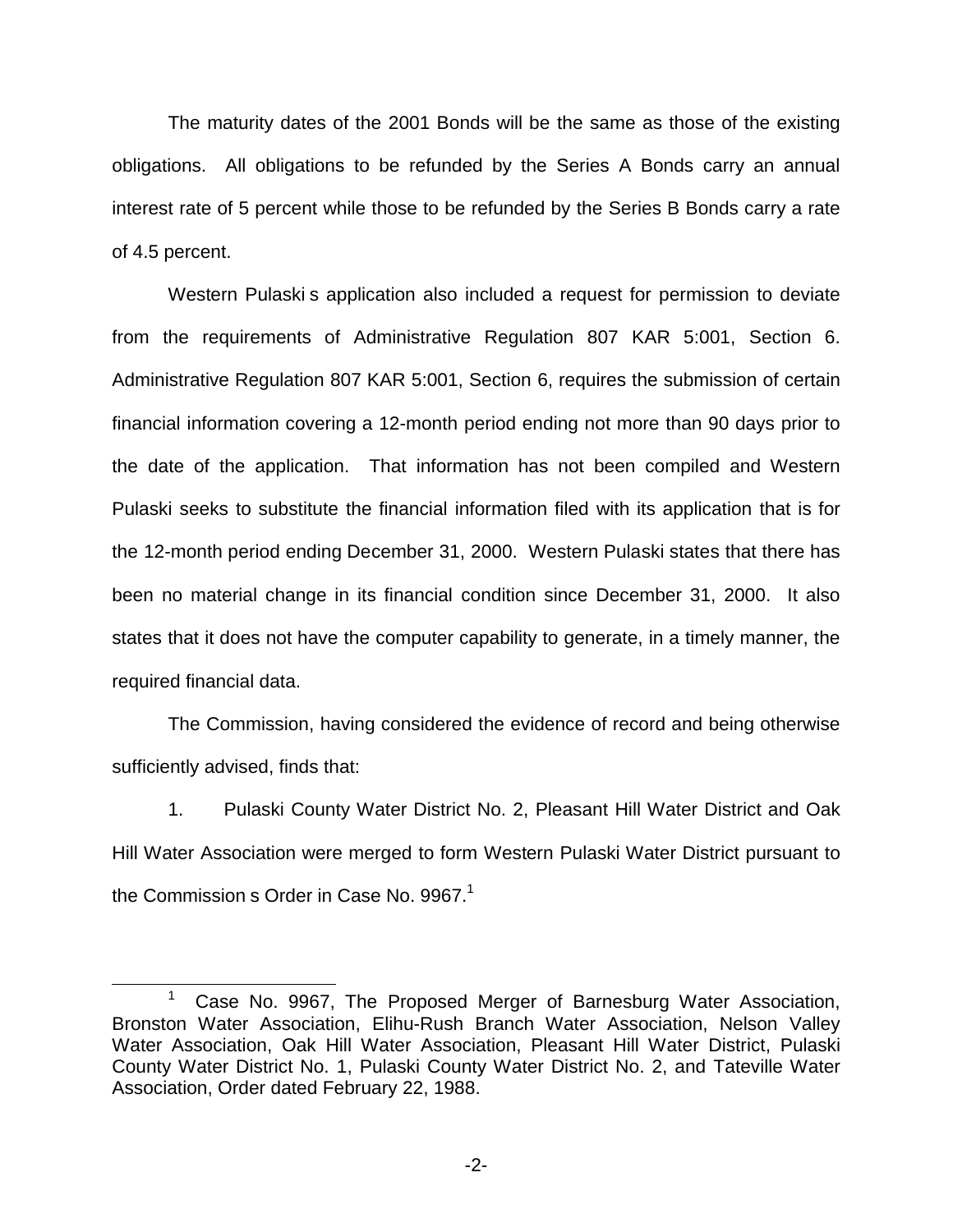The maturity dates of the 2001 Bonds will be the same as those of the existing obligations. All obligations to be refunded by the Series A Bonds carry an annual interest rate of 5 percent while those to be refunded by the Series B Bonds carry a rate of 4.5 percent.

Western Pulaski s application also included a request for permission to deviate from the requirements of Administrative Regulation 807 KAR 5:001, Section 6. Administrative Regulation 807 KAR 5:001, Section 6, requires the submission of certain financial information covering a 12-month period ending not more than 90 days prior to the date of the application. That information has not been compiled and Western Pulaski seeks to substitute the financial information filed with its application that is for the 12-month period ending December 31, 2000. Western Pulaski states that there has been no material change in its financial condition since December 31, 2000. It also states that it does not have the computer capability to generate, in a timely manner, the required financial data.

The Commission, having considered the evidence of record and being otherwise sufficiently advised, finds that:

1. Pulaski County Water District No. 2, Pleasant Hill Water District and Oak Hill Water Association were merged to form Western Pulaski Water District pursuant to the Commission s Order in Case No.  $9967<sup>1</sup>$ 

<sup>&</sup>lt;sup>1</sup> Case No. 9967, The Proposed Merger of Barnesburg Water Association, Bronston Water Association, Elihu-Rush Branch Water Association, Nelson Valley Water Association, Oak Hill Water Association, Pleasant Hill Water District, Pulaski County Water District No. 1, Pulaski County Water District No. 2, and Tateville Water Association, Order dated February 22, 1988.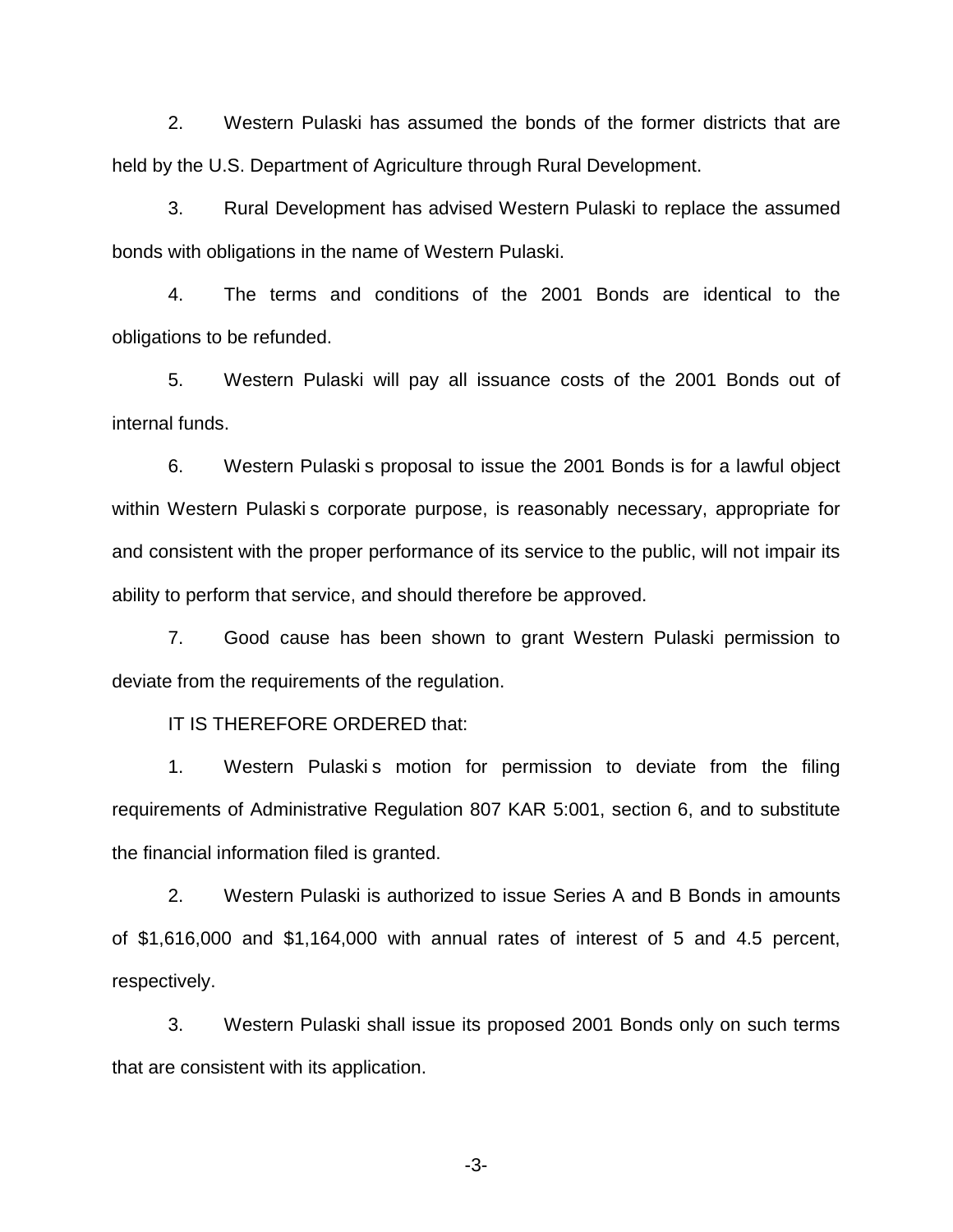2. Western Pulaski has assumed the bonds of the former districts that are held by the U.S. Department of Agriculture through Rural Development.

3. Rural Development has advised Western Pulaski to replace the assumed bonds with obligations in the name of Western Pulaski.

4. The terms and conditions of the 2001 Bonds are identical to the obligations to be refunded.

5. Western Pulaski will pay all issuance costs of the 2001 Bonds out of internal funds.

6. Western Pulaski s proposal to issue the 2001 Bonds is for a lawful object within Western Pulaski s corporate purpose, is reasonably necessary, appropriate for and consistent with the proper performance of its service to the public, will not impair its ability to perform that service, and should therefore be approved.

7. Good cause has been shown to grant Western Pulaski permission to deviate from the requirements of the regulation.

IT IS THEREFORE ORDERED that:

1. Western Pulaskis motion for permission to deviate from the filing requirements of Administrative Regulation 807 KAR 5:001, section 6, and to substitute the financial information filed is granted.

2. Western Pulaski is authorized to issue Series A and B Bonds in amounts of \$1,616,000 and \$1,164,000 with annual rates of interest of 5 and 4.5 percent, respectively.

3. Western Pulaski shall issue its proposed 2001 Bonds only on such terms that are consistent with its application.

-3-